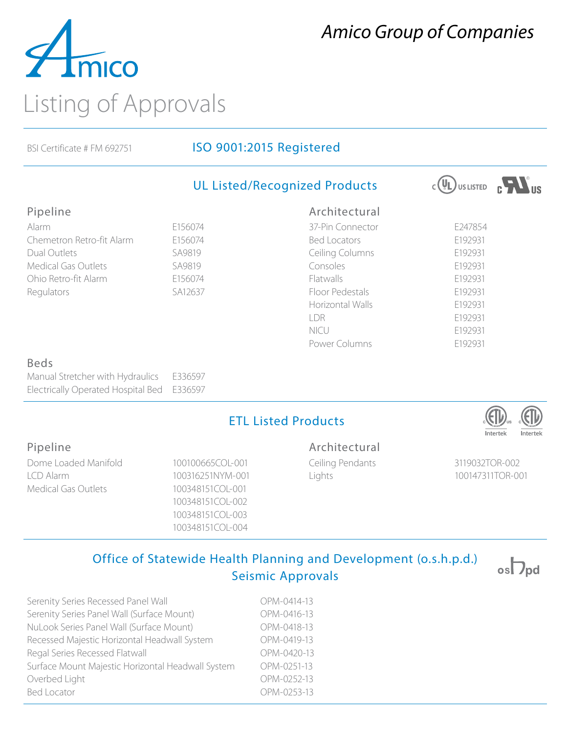

# *Amico Group of Companies*

## BSI Certificate # FM 692751 **ISO 9001:2015 Registered**

|                                           |         | <b>UL Listed/Recognized Products</b> | $(\Psi_L)$ <sub>US LISTED</sub> |
|-------------------------------------------|---------|--------------------------------------|---------------------------------|
| Pipeline                                  |         | Architectural                        |                                 |
| Alarm                                     | E156074 | 37-Pin Connector                     | E247854                         |
| Chemetron Retro-fit Alarm                 | E156074 | <b>Bed Locators</b>                  | E192931                         |
| Dual Outlets                              | SA9819  | Ceiling Columns                      | E192931                         |
| <b>Medical Gas Outlets</b>                | SA9819  | Consoles                             | E192931                         |
| Ohio Retro-fit Alarm                      | E156074 | Flatwalls                            | E192931                         |
| Regulators                                | SA12637 | Floor Pedestals                      | E192931                         |
|                                           |         | Horizontal Walls                     | E192931                         |
|                                           |         | LDR                                  | E192931                         |
|                                           |         | NICU                                 | E192931                         |
|                                           |         | Power Columns                        | E192931                         |
| <b>Beds</b>                               |         |                                      |                                 |
| Manual Stretcher with Hydraulics          | E336597 |                                      |                                 |
| <b>Electrically Operated Hospital Bed</b> | E336597 |                                      |                                 |
|                                           |         | <b>ETL Listed Products</b>           |                                 |

### Pipeline

Dome Loaded Manifold 100100665COL-001 LCD Alarm 100316251NYM-001 Medical Gas Outlets 100348151COL-001

100348151COL-002 100348151COL-003 100348151COL-004

#### Architectural

Ceiling Pendants 3119032TOR-002 Lights 100147311TOR-001

## Office of Statewide Health Planning and Development (o.s.h.p.d.) Seismic Approvals

| Serenity Series Recessed Panel Wall               | OPM-0414-13 |
|---------------------------------------------------|-------------|
| Serenity Series Panel Wall (Surface Mount)        | OPM-0416-13 |
| NuLook Series Panel Wall (Surface Mount)          | OPM-0418-13 |
| Recessed Majestic Horizontal Headwall System      | OPM-0419-13 |
| Regal Series Recessed Flatwall                    | OPM-0420-13 |
| Surface Mount Majestic Horizontal Headwall System | OPM-0251-13 |
| Overbed Light                                     | OPM-0252-13 |
| <b>Bed Locator</b>                                | OPM-0253-13 |
|                                                   |             |



 $\circ$ s $\nabla_{\mathsf{pd}}$